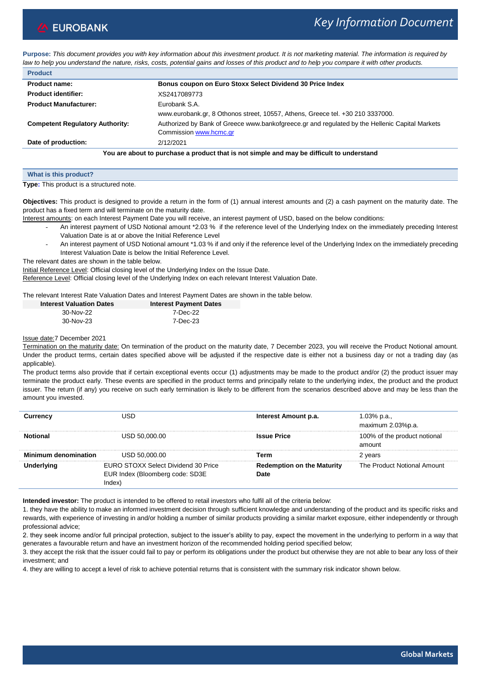# *Key Information Document*

**Purpose:** *This document provides you with key information about this investment product. It is not marketing material. The information is required by law to help you understand the nature, risks, costs, potential gains and losses of this product and to help you compare it with other products.*

| <b>Product</b>                                                                            |                                                                                                                          |  |
|-------------------------------------------------------------------------------------------|--------------------------------------------------------------------------------------------------------------------------|--|
| <b>Product name:</b>                                                                      | Bonus coupon on Euro Stoxx Select Dividend 30 Price Index                                                                |  |
| <b>Product identifier:</b>                                                                | XS2417089773                                                                                                             |  |
| <b>Product Manufacturer:</b>                                                              | Eurobank S.A.<br>www.eurobank.gr, 8 Othonos street, 10557, Athens, Greece tel. +30 210 3337000.                          |  |
| <b>Competent Regulatory Authority:</b>                                                    | Authorized by Bank of Greece www.bankofgreece.gr and regulated by the Hellenic Capital Markets<br>Commission www.hcmc.gr |  |
| Date of production:                                                                       | 2/12/2021                                                                                                                |  |
| You are about to purchase a product that is not simple and may be difficult to understand |                                                                                                                          |  |

| What is this product?                           |  |  |
|-------------------------------------------------|--|--|
| <b>Type:</b> This product is a structured note. |  |  |

**Objectives:** This product is designed to provide a return in the form of (1) annual interest amounts and (2) a cash payment on the maturity date. The product has a fixed term and will terminate on the maturity date.

Interest amounts: on each Interest Payment Date you will receive, an interest payment of USD, based on the below conditions:

- *-* An interest payment of USD Notional amount \*2.03 % if the reference level of the Underlying Index on the immediately preceding Interest Valuation Date is at or above the Initial Reference Level
- *-* An interest payment of USD Notional amount \*1.03 % if and only if the reference level of the Underlying Index on the immediately preceding Interest Valuation Date is below the Initial Reference Level.

The relevant dates are shown in the table below.

Initial Reference Level: Official closing level of the Underlying Index on the Issue Date.

Reference Level: Official closing level of the Underlying Index on each relevant Interest Valuation Date.

The relevant Interest Rate Valuation Dates and Interest Payment Dates are shown in the table below.

| <b>Interest Valuation Dates</b> | <b>Interest Payment Dates</b> |
|---------------------------------|-------------------------------|
| 30-Nov-22                       | 7-Dec-22                      |
| 30-Nov-23                       | 7-Dec-23                      |

## Issue date:7 December 2021

Termination on the maturity date: On termination of the product on the maturity date, 7 December 2023, you will receive the Product Notional amount. Under the product terms, certain dates specified above will be adjusted if the respective date is either not a business day or not a trading day (as applicable).

The product terms also provide that if certain exceptional events occur (1) adjustments may be made to the product and/or (2) the product issuer may terminate the product early. These events are specified in the product terms and principally relate to the underlying index, the product and the product issuer. The return (if any) you receive on such early termination is likely to be different from the scenarios described above and may be less than the amount you invested.

|                             | JSD.                                                                           | Interest Amount p.a.               | 1.03% p.a.,<br>maximum 2.03%p.a.       |
|-----------------------------|--------------------------------------------------------------------------------|------------------------------------|----------------------------------------|
|                             | USD 50,000.00                                                                  | <b>Issue Price</b>                 | 100% of the product notional<br>amount |
| <b>Minimum denomination</b> | USD 50,000.00                                                                  | <b>Term</b>                        | 2 years                                |
|                             | EURO STOXX Select Dividend 30 Price<br>EUR Index (Bloomberg code: SD3E<br>ndex | Redemption on the Maturity<br>)ate | The Product Notional Amount            |

**Intended investor:** The product is intended to be offered to retail investors who fulfil all of the criteria below:

1. they have the ability to make an informed investment decision through sufficient knowledge and understanding of the product and its specific risks and rewards, with experience of investing in and/or holding a number of similar products providing a similar market exposure, either independently or through professional advice;

2. they seek income and/or full principal protection, subject to the issuer's ability to pay, expect the movement in the underlying to perform in a way that generates a favourable return and have an investment horizon of the recommended holding period specified below;

3. they accept the risk that the issuer could fail to pay or perform its obligations under the product but otherwise they are not able to bear any loss of their investment; and

4. they are willing to accept a level of risk to achieve potential returns that is consistent with the summary risk indicator shown below.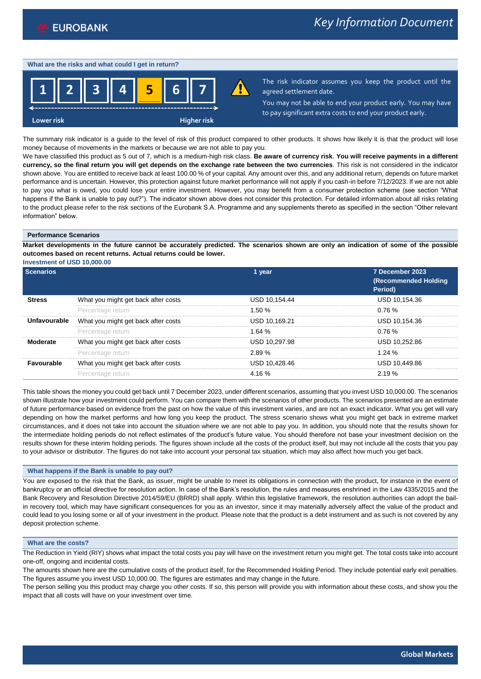#### **What are the risks and what could I get in return?**



The risk indicator assumes you keep the product until the agreed settlement date.

You may not be able to end your product early. You may have to pay significant extra costs to end your product early.

The summary risk indicator is a guide to the level of risk of this product compared to other products. It shows how likely it is that the product will lose money because of movements in the markets or because we are not able to pay you.

We have classified this product as 5 out of 7, which is a medium-high risk class. **Be aware of currency risk**. **You will receive payments in a different currency, so the final return you will get depends on the exchange rate between the two currencies**. This risk is not considered in the indicator shown above. You are entitled to receive back at least 100.00 % of your capital. Any amount over this, and any additional return, depends on future market performance and is uncertain. However, this protection against future market performance will not apply if you cash-in before 7/12/2023. If we are not able to pay you what is owed, you could lose your entire investment. However, you may benefit from a consumer protection scheme (see section "What happens if the Bank is unable to pay out?"). The indicator shown above does not consider this protection. For detailed information about all risks relating to the product please refer to the risk sections of the Eurobank S.A. Programme and any supplements thereto as specified in the section "Other relevant information" below.

#### **Performance Scenarios**

**Market developments in the future cannot be accurately predicted. The scenarios shown are only an indication of some of the possible outcomes based on recent returns. Actual returns could be lower.**

**Investment of USD 10,000.00**

|                   |                                     | 1 year        | 7 December 2023<br>(Recommended Holding<br>Period) |
|-------------------|-------------------------------------|---------------|----------------------------------------------------|
|                   | What you might get back after costs | USD 10.154.44 | USD 10.154.36                                      |
|                   | Percentage return                   | 1.50 %        | 0.76%                                              |
| Unfavourable      | What you might get back after costs | USD 10.169.21 | USD 10.154.36                                      |
|                   | Percentage return                   | 1.64%         | 0.76%                                              |
| Moderate          | What you might get back after costs | USD 10.297.98 | USD 10.252.86                                      |
|                   | Percentage return                   | 2.89%         | 1.24 $%$                                           |
| <b>Favourable</b> | What you might get back after costs | USD 10.428.46 | USD 10.449.86                                      |
|                   | Percentage return                   |               | 2 19 %                                             |

This table shows the money you could get back until 7 December 2023, under different scenarios, assuming that you invest USD 10,000.00. The scenarios shown illustrate how your investment could perform. You can compare them with the scenarios of other products. The scenarios presented are an estimate of future performance based on evidence from the past on how the value of this investment varies, and are not an exact indicator. What you get will vary depending on how the market performs and how long you keep the product. The stress scenario shows what you might get back in extreme market circumstances, and it does not take into account the situation where we are not able to pay you. In addition, you should note that the results shown for the intermediate holding periods do not reflect estimates of the product's future value. You should therefore not base your investment decision on the results shown for these interim holding periods. The figures shown include all the costs of the product itself, but may not include all the costs that you pay to your advisor or distributor. The figures do not take into account your personal tax situation, which may also affect how much you get back.

## **What happens if the Bank is unable to pay out?**

You are exposed to the risk that the Bank, as issuer, might be unable to meet its obligations in connection with the product, for instance in the event of bankruptcy or an official directive for resolution action. In case of the Bank's resolution, the rules and measures enshrined in the Law 4335/2015 and the Bank Recovery and Resolution Directive 2014/59/EU (BRRD) shall apply. Within this legislative framework, the resolution authorities can adopt the bailin recovery tool, which may have significant consequences for you as an investor, since it may materially adversely affect the value of the product and could lead to you losing some or all of your investment in the product. Please note that the product is a debt instrument and as such is not covered by any deposit protection scheme.

# **What are the costs?**

The Reduction in Yield (RIY) shows what impact the total costs you pay will have on the investment return you might get. The total costs take into account one-off, ongoing and incidental costs.

The amounts shown here are the cumulative costs of the product itself, for the Recommended Holding Period. They include potential early exit penalties. The figures assume you invest USD 10,000.00. The figures are estimates and may change in the future.

The person selling you this product may charge you other costs. If so, this person will provide you with information about these costs, and show you the impact that all costs will have on your investment over time.